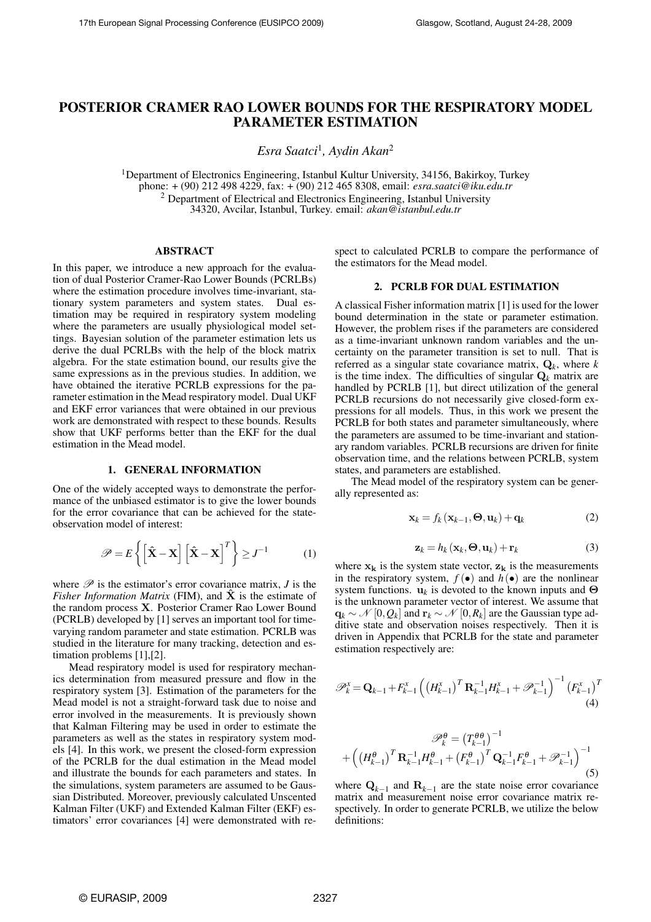# POSTERIOR CRAMER RAO LOWER BOUNDS FOR THE RESPIRATORY MODEL PARAMETER ESTIMATION

*Esra Saatci*<sup>1</sup> *, Aydin Akan*<sup>2</sup>

<sup>1</sup>Department of Electronics Engineering, Istanbul Kultur University, 34156, Bakirkoy, Turkey phone: + (90) 212 498 4229, fax: + (90) 212 465 8308, email: *esra.saatci@iku.edu.tr*  $2$  Department of Electrical and Electronics Engineering, Istanbul University 34320, Avcilar, Istanbul, Turkey. email: *akan@istanbul.edu.tr*

### ABSTRACT

In this paper, we introduce a new approach for the evaluation of dual Posterior Cramer-Rao Lower Bounds (PCRLBs) where the estimation procedure involves time-invariant, stationary system parameters and system states. Dual estimation may be required in respiratory system modeling where the parameters are usually physiological model settings. Bayesian solution of the parameter estimation lets us derive the dual PCRLBs with the help of the block matrix algebra. For the state estimation bound, our results give the same expressions as in the previous studies. In addition, we have obtained the iterative PCRLB expressions for the parameter estimation in the Mead respiratory model. Dual UKF and EKF error variances that were obtained in our previous work are demonstrated with respect to these bounds. Results show that UKF performs better than the EKF for the dual estimation in the Mead model.

#### 1. GENERAL INFORMATION

One of the widely accepted ways to demonstrate the performance of the unbiased estimator is to give the lower bounds for the error covariance that can be achieved for the stateobservation model of interest:

$$
\mathscr{P} = E\left\{ \left[ \hat{\mathbf{X}} - \mathbf{X} \right] \left[ \hat{\mathbf{X}} - \mathbf{X} \right]^T \right\} \ge J^{-1} \tag{1}
$$

where  $\mathscr P$  is the estimator's error covariance matrix,  $J$  is the *Fisher Information Matrix* (FIM), and  $\hat{\mathbf{X}}$  is the estimate of the random process X. Posterior Cramer Rao Lower Bound (PCRLB) developed by [1] serves an important tool for timevarying random parameter and state estimation. PCRLB was studied in the literature for many tracking, detection and estimation problems [1],[2].

Mead respiratory model is used for respiratory mechanics determination from measured pressure and flow in the respiratory system [3]. Estimation of the parameters for the Mead model is not a straight-forward task due to noise and error involved in the measurements. It is previously shown that Kalman Filtering may be used in order to estimate the parameters as well as the states in respiratory system models [4]. In this work, we present the closed-form expression of the PCRLB for the dual estimation in the Mead model and illustrate the bounds for each parameters and states. In the simulations, system parameters are assumed to be Gaussian Distributed. Moreover, previously calculated Unscented Kalman Filter (UKF) and Extended Kalman Filter (EKF) estimators' error covariances [4] were demonstrated with respect to calculated PCRLB to compare the performance of the estimators for the Mead model.

### 2. PCRLB FOR DUAL ESTIMATION

A classical Fisher information matrix [1] is used for the lower bound determination in the state or parameter estimation. However, the problem rises if the parameters are considered as a time-invariant unknown random variables and the uncertainty on the parameter transition is set to null. That is referred as a singular state covariance matrix, Q*<sup>k</sup>* , where *k* is the time index. The difficulties of singular  $\mathbf{Q}_k$  matrix are handled by PCRLB [1], but direct utilization of the general PCRLB recursions do not necessarily give closed-form expressions for all models. Thus, in this work we present the PCRLB for both states and parameter simultaneously, where the parameters are assumed to be time-invariant and stationary random variables. PCRLB recursions are driven for finite observation time, and the relations between PCRLB, system states, and parameters are established.

The Mead model of the respiratory system can be generally represented as:

$$
\mathbf{x}_{k} = f_{k}(\mathbf{x}_{k-1}, \boldsymbol{\Theta}, \mathbf{u}_{k}) + \mathbf{q}_{k}
$$
 (2)

$$
\mathbf{z}_{k} = h_{k}(\mathbf{x}_{k}, \mathbf{\Theta}, \mathbf{u}_{k}) + \mathbf{r}_{k} \tag{3}
$$

where  $x_k$  is the system state vector,  $z_k$  is the measurements in the respiratory system,  $f(\bullet)$  and  $h(\bullet)$  are the nonlinear system functions.  $\mathbf{u}_k$  is devoted to the known inputs and  $\Theta$ is the unknown parameter vector of interest. We assume that  $\mathbf{q}_k \sim \mathcal{N}\left[0,Q_k\right]$  and  $\mathbf{r}_k \sim \mathcal{N}\left[0,R_k\right]$  are the Gaussian type additive state and observation noises respectively. Then it is driven in Appendix that PCRLB for the state and parameter estimation respectively are:

$$
\mathscr{P}_{k}^{x} = \mathbf{Q}_{k-1} + F_{k-1}^{x} \left( \left( H_{k-1}^{x} \right)^{T} \mathbf{R}_{k-1}^{-1} H_{k-1}^{x} + \mathscr{P}_{k-1}^{-1} \right)^{-1} \left( F_{k-1}^{x} \right)^{T} (4)
$$

$$
\mathscr{P}_{k}^{\theta} = (T_{k-1}^{\theta \theta})^{-1}
$$

$$
+ \left( \left( H_{k-1}^{\theta} \right)^{T} \mathbf{R}_{k-1}^{-1} H_{k-1}^{\theta} + \left( F_{k-1}^{\theta} \right)^{T} \mathbf{Q}_{k-1}^{-1} F_{k-1}^{\theta} + \mathscr{P}_{k-1}^{-1} \right)^{-1} \tag{5}
$$

where  $\mathbf{Q}_{k-1}$  and  $\mathbf{R}_{k-1}$  are the state noise error covariance matrix and measurement noise error covariance matrix respectively. In order to generate PCRLB, we utilize the below definitions: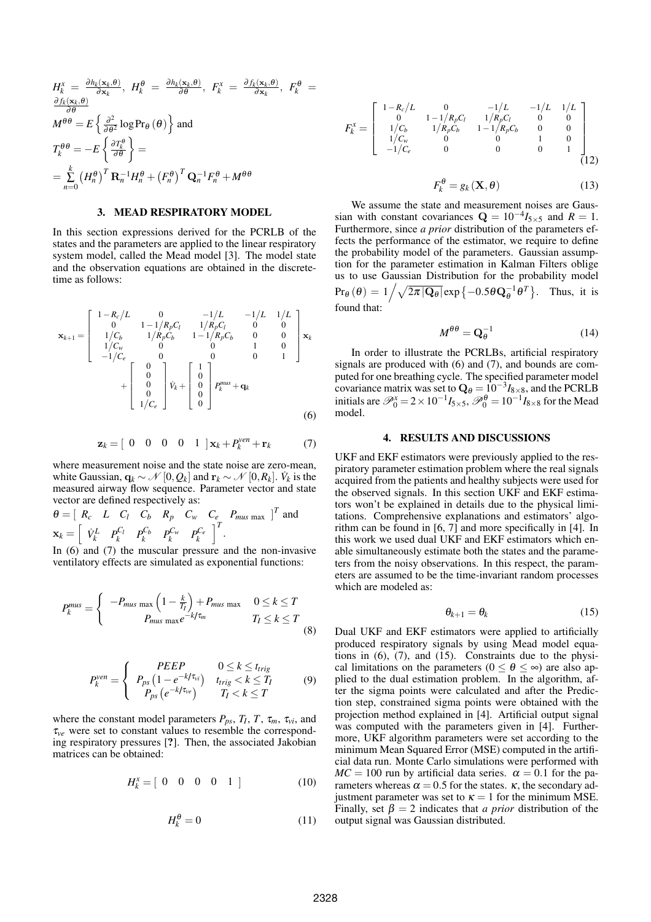$$
H_{k}^{x} = \frac{\partial h_{k}(\mathbf{x}_{k}, \theta)}{\partial \mathbf{x}_{k}}, \ H_{k}^{\theta} = \frac{\partial h_{k}(\mathbf{x}_{k}, \theta)}{\partial \theta}, \ F_{k}^{x} = \frac{\partial f_{k}(\mathbf{x}_{k}, \theta)}{\partial \mathbf{x}_{k}}, \ F_{k}^{\theta} = \frac{\partial f_{k}(\mathbf{x}_{k}, \theta)}{\partial \theta}
$$
  
\n
$$
M^{\theta \theta} = E\left\{\frac{\partial^{2}}{\partial \theta^{2}} \log \mathrm{Pr}_{\theta}(\theta)\right\} \text{ and}
$$
  
\n
$$
T_{k}^{\theta \theta} = -E\left\{\frac{\partial T_{k}^{\theta}}{\partial \theta}\right\} =
$$
  
\n
$$
= \sum_{n=0}^{k} (H_{n}^{\theta})^{T} \mathbf{R}_{n}^{-1} H_{n}^{\theta} + (F_{n}^{\theta})^{T} \mathbf{Q}_{n}^{-1} F_{n}^{\theta} + M^{\theta \theta}
$$

### 3. MEAD RESPIRATORY MODEL

In this section expressions derived for the PCRLB of the states and the parameters are applied to the linear respiratory system model, called the Mead model [3]. The model state and the observation equations are obtained in the discretetime as follows:

$$
\mathbf{x}_{k+1} = \begin{bmatrix} 1 - R_c/L & 0 & -1/L & -1/L & 1/L \\ 0 & 1 - 1/R_p C_l & 1/R_p C_l & 0 & 0 \\ 1/C_b & 1/R_p C_b & 1 - 1/R_p C_b & 0 & 0 \\ 1/C_w & 0 & 0 & 1 & 0 \\ -1/C_e & 0 & 0 & 0 & 1 \end{bmatrix} \mathbf{x}_k + \begin{bmatrix} 0 \\ 0 \\ 0 \\ 0 \end{bmatrix} \dot{v}_k + \begin{bmatrix} 1 \\ 0 \\ 0 \\ 0 \end{bmatrix} P_k^{mus} + \mathbf{q}_k
$$
 (6)

$$
\mathbf{z}_k = \begin{bmatrix} 0 & 0 & 0 & 0 & 1 \end{bmatrix} \mathbf{x}_k + P_k^{ven} + \mathbf{r}_k \tag{7}
$$

where measurement noise and the state noise are zero-mean, white Gaussian,  $\mathbf{q}_k \sim \mathcal{N}\left[0, Q_k\right]$  and  $\mathbf{r}_k \sim \mathcal{N}\left[0, R_k\right]$ .  $\dot{V}_k$  is the measured airway flow sequence. Parameter vector and state vector are defined respectively as:

$$
\theta = \left[ \begin{array}{cccc} R_c & L & C_l & C_b & R_p & C_w & C_e & P_{mus \, max} \end{array} \right]^T
$$
 and  

$$
\mathbf{x}_k = \left[ \begin{array}{cccc} \dot{V}_k^L & P_k^{C_l} & P_k^{C_b} & P_k^{C_w} & P_k^{C_e} \end{array} \right]^T.
$$

In (6) and (7) the muscular pressure and the non-invasive ventilatory effects are simulated as exponential functions:

$$
P_k^{mus} = \begin{cases} -P_{mus \, max} \left(1 - \frac{k}{T_l}\right) + P_{mus \, max} & 0 \le k \le T \\ P_{mus \, max} e^{-k/\tau_m} & T_l \le k \le T \end{cases} \tag{8}
$$

$$
P_k^{ven} = \begin{cases} PEEP & 0 \le k \le t_{trig} \\ P_{ps} \left( 1 - e^{-k/\tau_{vi}} \right) & t_{trig} < k \le T_I \\ P_{ps} \left( e^{-k/\tau_{ve}} \right) & T_I < k \le T \end{cases}
$$
(9)

where the constant model parameters  $P_{ps}$ ,  $T_I$ ,  $T$ ,  $\tau_m$ ,  $\tau_{vi}$ , and <sup>τ</sup>*ve* were set to constant values to resemble the corresponding respiratory pressures [?]. Then, the associated Jakobian matrices can be obtained:

$$
H_k^x = [0 \ 0 \ 0 \ 0 \ 1 ] \tag{10}
$$

$$
H_k^{\theta} = 0 \tag{11}
$$

$$
F_k^x = \begin{bmatrix} 1 - R_c/L & 0 & -1/L & -1/L & 1/L \\ 0 & 1 - 1/R_pC_l & 1/R_pC_l & 0 & 0 \\ 1/C_b & 1/R_pC_b & 1 - 1/R_pC_b & 0 & 0 \\ 1/C_w & 0 & 0 & 1 & 0 \\ -1/C_e & 0 & 0 & 0 & 1 \end{bmatrix}
$$
(12)

$$
F_k^{\theta} = g_k(\mathbf{X}, \theta) \tag{13}
$$

We assume the state and measurement noises are Gaussian with constant covariances  $Q = 10^{-4}I_{5\times 5}$  and  $R = 1$ . Furthermore, since *a prior* distribution of the parameters effects the performance of the estimator, we require to define the probability model of the parameters. Gaussian assumption for the parameter estimation in Kalman Filters oblige us to use Gaussian Distribution for the probability model  $Pr_{\theta}(\theta) = 1$ raussian Distribution for the prot<br> $\sqrt{\sqrt{2\pi |\mathbf{Q}_{\theta}|}} \exp \{-0.5 \theta \mathbf{Q}_{\theta}^{-1} \theta^{T} \}$ . Thus, it is found that:

$$
M^{\theta\theta} = \mathbf{Q}_{\theta}^{-1} \tag{14}
$$

In order to illustrate the PCRLBs, artificial respiratory signals are produced with (6) and (7), and bounds are computed for one breathing cycle. The specified parameter model covariance matrix was set to  $\mathbf{Q}_{\theta} = 10^{-3} I_{8 \times 8}$ , and the PCRLB initials are  $\mathcal{P}_0^x = 2 \times 10^{-1} I_{5 \times 5}$ ,  $\mathcal{P}_0^{\theta} = 10^{-1} I_{8 \times 8}$  for the Mead model.

## 4. RESULTS AND DISCUSSIONS

UKF and EKF estimators were previously applied to the respiratory parameter estimation problem where the real signals acquired from the patients and healthy subjects were used for the observed signals. In this section UKF and EKF estimators won't be explained in details due to the physical limitations. Comprehensive explanations and estimators' algorithm can be found in [6, 7] and more specifically in [4]. In this work we used dual UKF and EKF estimators which enable simultaneously estimate both the states and the parameters from the noisy observations. In this respect, the parameters are assumed to be the time-invariant random processes which are modeled as:

$$
\theta_{k+1} = \theta_k \tag{15}
$$

Dual UKF and EKF estimators were applied to artificially produced respiratory signals by using Mead model equations in  $(6)$ ,  $(7)$ , and  $(15)$ . Constraints due to the physical limitations on the parameters ( $0 \le \theta \le \infty$ ) are also applied to the dual estimation problem. In the algorithm, after the sigma points were calculated and after the Prediction step, constrained sigma points were obtained with the projection method explained in [4]. Artificial output signal was computed with the parameters given in [4]. Furthermore, UKF algorithm parameters were set according to the minimum Mean Squared Error (MSE) computed in the artificial data run. Monte Carlo simulations were performed with  $MC = 100$  run by artificial data series.  $\alpha = 0.1$  for the parameters whereas  $\alpha = 0.5$  for the states. *κ*, the secondary adjustment parameter was set to  $\kappa = 1$  for the minimum MSE. Finally, set  $\beta = 2$  indicates that *a prior* distribution of the output signal was Gaussian distributed.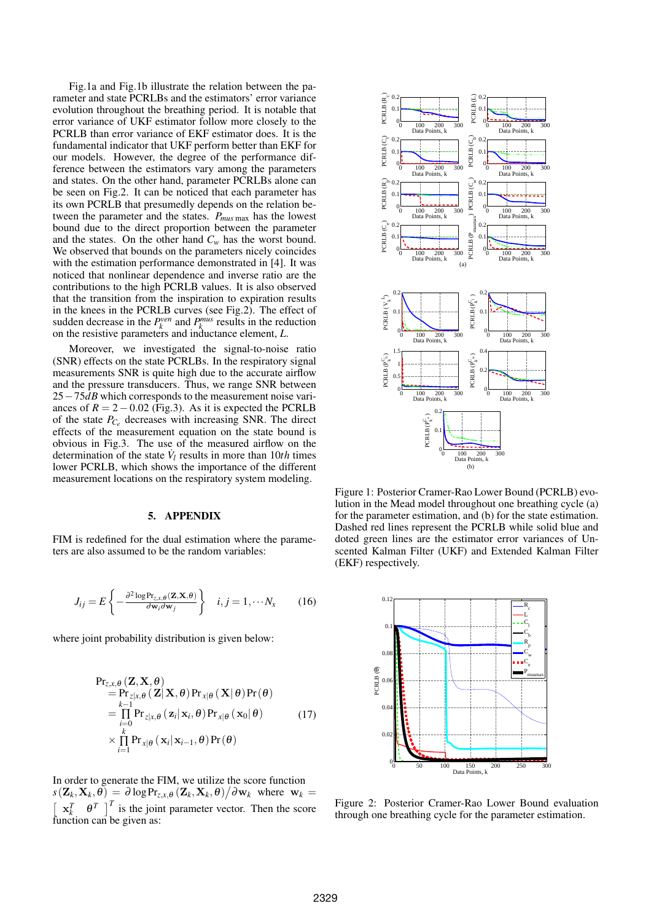Fig.1a and Fig.1b illustrate the relation between the parameter and state PCRLBs and the estimators' error variance evolution throughout the breathing period. It is notable that error variance of UKF estimator follow more closely to the PCRLB than error variance of EKF estimator does. It is the fundamental indicator that UKF perform better than EKF for our models. However, the degree of the performance difference between the estimators vary among the parameters and states. On the other hand, parameter PCRLBs alone can be seen on Fig.2. It can be noticed that each parameter has its own PCRLB that presumedly depends on the relation between the parameter and the states. *Pmus* max has the lowest bound due to the direct proportion between the parameter and the states. On the other hand  $C_w$  has the worst bound. We observed that bounds on the parameters nicely coincides with the estimation performance demonstrated in [4]. It was noticed that nonlinear dependence and inverse ratio are the contributions to the high PCRLB values. It is also observed that the transition from the inspiration to expiration results in the knees in the PCRLB curves (see Fig.2). The effect of sudden decrease in the  $P_k^{ven}$  and  $P_k^{mus}$  results in the reduction on the resistive parameters and inductance element, *L*.

Moreover, we investigated the signal-to-noise ratio (SNR) effects on the state PCRLBs. In the respiratory signal measurements SNR is quite high due to the accurate airflow and the pressure transducers. Thus, we range SNR between 25−75*dB* which corresponds to the measurement noise variances of  $R = 2 - 0.02$  (Fig.3). As it is expected the PCRLB of the state *PC<sup>e</sup>* decreases with increasing SNR. The direct effects of the measurement equation on the state bound is obvious in Fig.3. The use of the measured airflow on the determination of the state  $\dot{V}_l$  results in more than 10*th* times lower PCRLB, which shows the importance of the different measurement locations on the respiratory system modeling.

#### 5. APPENDIX

FIM is redefined for the dual estimation where the parameters are also assumed to be the random variables:

$$
J_{ij} = E\left\{-\frac{\partial^2 \log \Pr_{z,x,\theta}(\mathbf{Z}, \mathbf{X}, \theta)}{\partial \mathbf{w}_i \partial \mathbf{w}_j}\right\} \quad i, j = 1, \cdots N_x \quad (16)
$$

where joint probability distribution is given below:

$$
\Pr_{z,x,\theta}(\mathbf{Z}, \mathbf{X}, \theta) = \Pr_{z|x,\theta}(\mathbf{Z} | \mathbf{X}, \theta) \Pr_{x|\theta}(\mathbf{X} | \theta) \Pr(\theta) \n= \prod_{\substack{i=0 \ i=0}}^{k-1} \Pr_{z|x,\theta}(\mathbf{z}_i | \mathbf{x}_i, \theta) \Pr_{x|\theta}(\mathbf{x}_0 | \theta) \n\times \prod_{i=1}^{k} \Pr_{x|\theta}(\mathbf{x}_i | \mathbf{x}_{i-1}, \theta) \Pr(\theta)
$$
\n(17)

In order to generate the FIM, we utilize the score function  $s(\mathbf{Z}_k, \mathbf{X}_k, \theta) = \partial \log \Pr_{z,x,\theta} (\mathbf{Z}_k, \mathbf{X}_k, \theta) / \partial \mathbf{w}_k$  where  $\mathbf{w}_k =$  $\mathbf{x}_k^T$   $\theta^T$   $\int_0^T$  is the joint parameter vector. Then the score function can be given as:



Figure 1: Posterior Cramer-Rao Lower Bound (PCRLB) evolution in the Mead model throughout one breathing cycle (a) for the parameter estimation, and (b) for the state estimation. Dashed red lines represent the PCRLB while solid blue and doted green lines are the estimator error variances of Unscented Kalman Filter (UKF) and Extended Kalman Filter (EKF) respectively.



Figure 2: Posterior Cramer-Rao Lower Bound evaluation through one breathing cycle for the parameter estimation.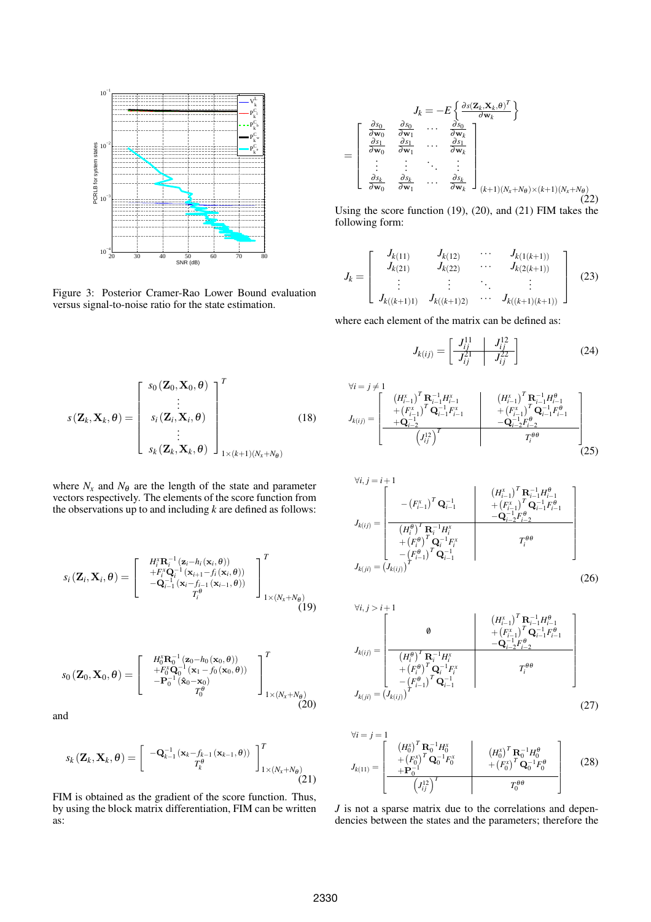

Figure 3: Posterior Cramer-Rao Lower Bound evaluation versus signal-to-noise ratio for the state estimation.

$$
s(\mathbf{Z}_k, \mathbf{X}_k, \theta) = \begin{bmatrix} s_0(\mathbf{Z}_0, \mathbf{X}_0, \theta) \\ \vdots \\ s_i(\mathbf{Z}_i, \mathbf{X}_i, \theta) \\ \vdots \\ s_k(\mathbf{Z}_k, \mathbf{X}_k, \theta) \end{bmatrix}_{1 \times (k+1)(N_x + N_{\theta})}^T
$$
(18)

where  $N_x$  and  $N_\theta$  are the length of the state and parameter vectors respectively. The elements of the score function from the observations up to and including *k* are defined as follows:

$$
s_i(\mathbf{Z}_i, \mathbf{X}_i, \theta) = \begin{bmatrix} H_i^x \mathbf{R}_i^{-1} (\mathbf{z}_i - h_i(\mathbf{x}_i, \theta)) \\ + F_i^x \mathbf{Q}_i^{-1} (\mathbf{x}_{i+1} - f_i(\mathbf{x}_i, \theta)) \\ -\mathbf{Q}_{i-1}^{-1} (\mathbf{x}_i - f_{i-1}(\mathbf{x}_{i-1}, \theta)) \\ T_i^{\theta} \end{bmatrix}_{1 \times (N_x + N_{\theta})}^T
$$
(19)

$$
s_0\left(\mathbf{Z}_0,\mathbf{X}_0,\boldsymbol{\theta}\right)=\begin{bmatrix}H_0^x\mathbf{R}_0^{-1}(\mathbf{z}_0-h_0(\mathbf{x}_0,\boldsymbol{\theta}))\\+F_0^x\mathbf{Q}_0^{-1}(\mathbf{x}_1-f_0(\mathbf{x}_0,\boldsymbol{\theta}))\\-P_0^{-1}(\hat{\mathbf{x}}_0-\mathbf{x}_0)\\T_0^{\boldsymbol{\theta}}\end{bmatrix}_{1\times(N_x+N_{\boldsymbol{\theta}})}^T
$$
(20)

and

$$
s_k(\mathbf{Z}_k, \mathbf{X}_k, \theta) = \begin{bmatrix} -\mathbf{Q}_{k-1}^{-1}(\mathbf{x}_k - f_{k-1}(\mathbf{x}_{k-1}, \theta)) \\ T_k^{\theta} \end{bmatrix}_{1 \times (N_x + N_{\theta})}^T
$$
(21)

FIM is obtained as the gradient of the score function. Thus, by using the block matrix differentiation, FIM can be written as:

$$
J_k = -E\left\{\frac{\frac{\partial s_0}{\partial \mathbf{w}_0} \quad \frac{\partial s_0}{\partial \mathbf{w}_1} \quad \cdots \quad \frac{\partial s_0}{\partial \mathbf{w}_k} \quad \frac{\partial s_1}{\partial \mathbf{w}_1} \quad \cdots \quad \frac{\partial s_1}{\partial \mathbf{w}_k} \quad \frac{\partial s_1}{\partial \mathbf{w}_1} \quad \cdots \quad \frac{\partial s_1}{\partial \mathbf{w}_k} \quad \cdots \quad \frac{\partial s_1}{\partial \mathbf{w}_k} \quad \cdots \quad \frac{\partial s_k}{\partial \mathbf{w}_k} \quad \cdots \quad \frac{\partial s_k}{\partial \mathbf{w}_k} \quad \cdots \quad \frac{\partial s_k}{\partial \mathbf{w}_k} \quad \cdots \quad \frac{\partial s_k}{\partial \mathbf{w}_k} \quad \cdots \quad \frac{\partial s_k}{\partial \mathbf{w}_k} \quad \cdots \quad \frac{\partial s_k}{\partial \mathbf{w}_k} \quad \cdots \quad \frac{\partial s_k}{\partial \mathbf{w}_k} \quad \cdots \quad \frac{\partial s_k}{\partial \mathbf{w}_k} \quad \frac{\partial s_k}{\partial \mathbf{w}_k} \quad \cdots \quad \frac{\partial s_k}{\partial \mathbf{w}_k} \quad \frac{\partial s_k}{\partial \mathbf{w}_k} \quad \frac{\partial s_k}{\partial \mathbf{w}_k} \quad \frac{\partial s_k}{\partial \mathbf{w}_k} \quad \frac{\partial s_k}{\partial \mathbf{w}_k} \quad \frac{\partial s_k}{\partial \mathbf{w}_k} \quad \frac{\partial s_k}{\partial \mathbf{w}_k} \quad \frac{\partial s_k}{\partial \mathbf{w}_k} \quad \frac{\partial s_k}{\partial \mathbf{w}_k} \quad \frac{\partial s_k}{\partial \mathbf{w}_k} \quad \frac{\partial s_k}{\partial \mathbf{w}_k} \quad \frac{\partial s_k}{\partial \mathbf{w}_k} \quad \frac{\partial s_k}{\partial \mathbf{w}_k} \quad \frac{\partial s_k}{\partial \mathbf{w}_k} \quad \frac{\partial s_k}{\partial \mathbf{w}_k} \quad \frac{\partial s_k}{\partial \mathbf{w}_k} \quad \frac{\partial s_k}{\partial \mathbf{w}_k} \quad \frac{\partial s_k}{\partial \mathbf{w}_k} \quad \frac{\partial s_k}{\partial \math
$$

Using the score function (19), (20), and (21) FIM takes the following form:

$$
J_k = \begin{bmatrix} J_{k(11)} & J_{k(12)} & \cdots & J_{k(1(k+1))} \\ J_{k(21)} & J_{k(22)} & \cdots & J_{k(2(k+1))} \\ \vdots & \vdots & \ddots & \vdots \\ J_{k((k+1)1)} & J_{k((k+1)2)} & \cdots & J_{k((k+1)(k+1))} \end{bmatrix}
$$
(23)

where each element of the matrix can be defined as:

$$
J_{k(ij)} = \begin{bmatrix} J_{ij}^{11} & J_{ij}^{12} \\ \hline J_{ij}^{21} & J_{ij}^{22} \end{bmatrix}
$$
 (24)

$$
J_{k(ij)} = \begin{bmatrix} (H_{i-1}^{x})^T \mathbf{R}_{i-1}^{-1} H_{i-1}^{x} & (H_{i-1}^{x})^T \mathbf{R}_{i-1}^{-1} H_{i-1}^{\theta} \\ + (F_{i-1}^{x})^T \mathbf{Q}_{i-1}^{-1} F_{i-1}^{x} & + (F_{i-1}^{x})^T \mathbf{Q}_{i-1}^{-1} F_{i-1}^{\theta} \\ + \mathbf{Q}_{i-2}^{-1} & -\mathbf{Q}_{i-2}^{-1} F_{i-2}^{\theta} \\ (I_{i,j}^{x})^T & T_{i}^{\theta \theta} \end{bmatrix}
$$
(25)

$$
J_{k(ij)} = \begin{bmatrix} -(F_{i-1}^{x})^{T} \mathbf{Q}_{i-1}^{-1} & (H_{i-1}^{x})^{T} \mathbf{R}_{i-1}^{-1} H_{i-1}^{\theta} \\ -(F_{i-1}^{x})^{T} \mathbf{Q}_{i-1}^{-1} & +(F_{i-1}^{x})^{T} \mathbf{Q}_{i-1}^{-1} F_{i-1}^{\theta} \\ (H_{i}^{\theta})^{T} \mathbf{R}_{i}^{-1} H_{i}^{x} & -\mathbf{Q}_{i-2}^{-1} F_{i-2}^{\theta} \\ (F_{i}^{\theta})^{T} \mathbf{Q}_{i}^{-1} F_{i}^{x} & T_{i}^{\theta\theta} \end{bmatrix}
$$

$$
J_{k(ji)} = (J_{k(ij)})^{T} (J_{i-1}^{x}) \qquad (26)
$$

$$
\forall i, j > i+1
$$
\n
$$
J_{k(ij)} = \begin{bmatrix}\n\theta & \left( H_{i-1}^{X} \right)^{T} \mathbf{R}_{i-1}^{-1} H_{i-1}^{\theta} \\
\vdots & \ddots & \vdots \\
\frac{\left( H_{i}^{\theta} \right)^{T} \mathbf{R}_{i}^{-1} H_{i}^{X}}{\left( H_{i}^{\theta} \right)^{T} \mathbf{Q}_{i}^{-1} F_{i}^{\theta}} \\
+ \left( F_{i}^{\theta} \right)^{T} \mathbf{Q}_{i}^{-1} F_{i}^{X}\n\end{bmatrix}
$$
\n
$$
J_{k(ji)} = \left( J_{k(ij)} \right)^{T} \mathbf{Q}_{i-1}^{-1}
$$
\n(27)

$$
\forall i = j = 1
$$
\n
$$
J_{k(11)} = \begin{bmatrix} (H_0^x)^T \mathbf{R}_0^{-1} H_0^x & (H_0^x)^T \mathbf{R}_0^{-1} H_0^{\theta} \\ (H_0^x)^T \mathbf{Q}_0^{-1} F_0^x & (H_0^x)^T \mathbf{Q}_0^{-1} F_0^{\theta} \\ (H_0^{12})^T & (H_0^{12})^T & T_0^{\theta \theta} \end{bmatrix}
$$
\n(28)

*J* is not a sparse matrix due to the correlations and dependencies between the states and the parameters; therefore the